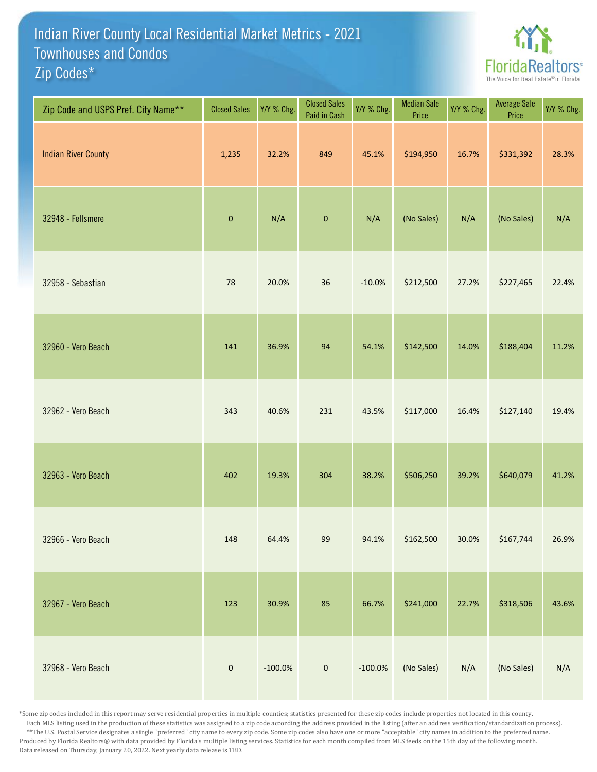## Indian River County Local Residential Market Metrics - 2021 Zip Codes\* Townhouses and Condos



| Zip Code and USPS Pref. City Name** | <b>Closed Sales</b> | Y/Y % Chg. | <b>Closed Sales</b><br>Paid in Cash | Y/Y % Chg. | <b>Median Sale</b><br>Price | Y/Y % Chg. | Average Sale<br>Price | Y/Y % Chg. |
|-------------------------------------|---------------------|------------|-------------------------------------|------------|-----------------------------|------------|-----------------------|------------|
| <b>Indian River County</b>          | 1,235               | 32.2%      | 849                                 | 45.1%      | \$194,950                   | 16.7%      | \$331,392             | 28.3%      |
| 32948 - Fellsmere                   | $\pmb{0}$           | N/A        | $\pmb{0}$                           | N/A        | (No Sales)                  | N/A        | (No Sales)            | N/A        |
| 32958 - Sebastian                   | 78                  | 20.0%      | 36                                  | $-10.0%$   | \$212,500                   | 27.2%      | \$227,465             | 22.4%      |
| 32960 - Vero Beach                  | 141                 | 36.9%      | 94                                  | 54.1%      | \$142,500                   | 14.0%      | \$188,404             | 11.2%      |
| 32962 - Vero Beach                  | 343                 | 40.6%      | 231                                 | 43.5%      | \$117,000                   | 16.4%      | \$127,140             | 19.4%      |
| 32963 - Vero Beach                  | 402                 | 19.3%      | 304                                 | 38.2%      | \$506,250                   | 39.2%      | \$640,079             | 41.2%      |
| 32966 - Vero Beach                  | 148                 | 64.4%      | 99                                  | 94.1%      | \$162,500                   | 30.0%      | \$167,744             | 26.9%      |
| 32967 - Vero Beach                  | 123                 | 30.9%      | 85                                  | 66.7%      | \$241,000                   | 22.7%      | \$318,506             | 43.6%      |
| 32968 - Vero Beach                  | $\pmb{0}$           | $-100.0\%$ | $\pmb{0}$                           | $-100.0\%$ | (No Sales)                  | N/A        | (No Sales)            | N/A        |

\*Some zip codes included in this report may serve residential properties in multiple counties; statistics presented for these zip codes include properties not located in this county. Each MLS listing used in the production of these statistics was assigned to a zip code according the address provided in the listing (after an address verification/standardization process). \*\*The U.S. Postal Service designates a single "preferred" city name to every zip code. Some zip codes also have one or more "acceptable" city names in addition to the preferred name. Produced by Florida Realtors® with data provided by Florida's multiple listing services. Statistics for each month compiled from MLS feeds on the 15th day of the following month. Data released on Thursday, January 20, 2022. Next yearly data release is TBD.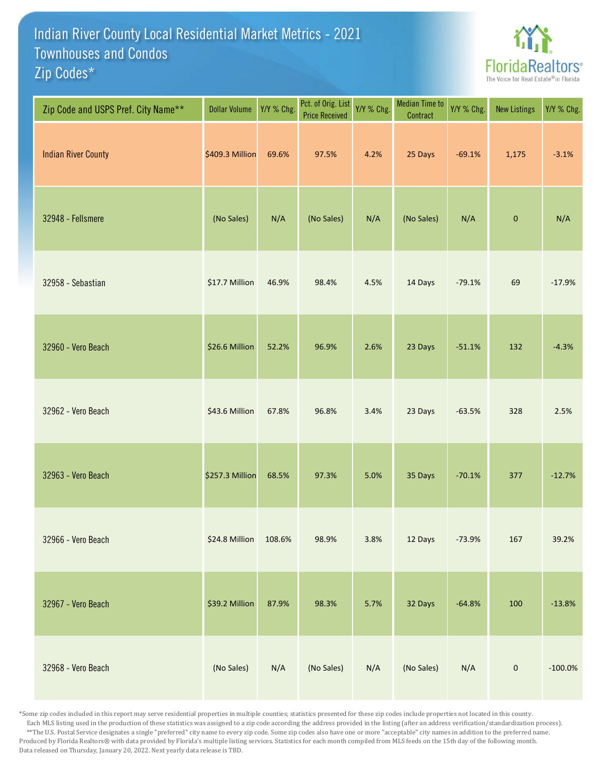## Indian River County Local Residential Market Metrics - 2021 Zip Codes\* Townhouses and Condos



| Zip Code and USPS Pref. City Name** | <b>Dollar Volume</b> | Y/Y % Chg. | Pct. of Orig. List<br><b>Price Received</b> | Y/Y % Chg. | <b>Median Time to</b><br>Contract | Y/Y % Chg. | <b>New Listings</b> | Y/Y % Chg. |
|-------------------------------------|----------------------|------------|---------------------------------------------|------------|-----------------------------------|------------|---------------------|------------|
| <b>Indian River County</b>          | \$409.3 Million      | 69.6%      | 97.5%                                       | 4.2%       | 25 Days                           | $-69.1%$   | 1,175               | $-3.1%$    |
| 32948 - Fellsmere                   | (No Sales)           | N/A        | (No Sales)                                  | N/A        | (No Sales)                        | N/A        | $\pmb{0}$           | N/A        |
| 32958 - Sebastian                   | \$17.7 Million       | 46.9%      | 98.4%                                       | 4.5%       | 14 Days                           | $-79.1%$   | 69                  | $-17.9%$   |
| 32960 - Vero Beach                  | \$26.6 Million       | 52.2%      | 96.9%                                       | 2.6%       | 23 Days                           | $-51.1%$   | 132                 | $-4.3%$    |
| 32962 - Vero Beach                  | \$43.6 Million       | 67.8%      | 96.8%                                       | 3.4%       | 23 Days                           | $-63.5%$   | 328                 | 2.5%       |
| 32963 - Vero Beach                  | \$257.3 Million      | 68.5%      | 97.3%                                       | 5.0%       | 35 Days                           | $-70.1%$   | 377                 | $-12.7%$   |
| 32966 - Vero Beach                  | \$24.8 Million       | 108.6%     | 98.9%                                       | 3.8%       | 12 Days                           | $-73.9%$   | 167                 | 39.2%      |
| 32967 - Vero Beach                  | \$39.2 Million       | 87.9%      | 98.3%                                       | 5.7%       | 32 Days                           | $-64.8%$   | 100                 | $-13.8%$   |
| 32968 - Vero Beach                  | (No Sales)           | N/A        | (No Sales)                                  | N/A        | (No Sales)                        | N/A        | $\pmb{0}$           | $-100.0\%$ |

\*Some zip codes included in this report may serve residential properties in multiple counties; statistics presented for these zip codes include properties not located in this county. Each MLS listing used in the production of these statistics was assigned to a zip code according the address provided in the listing (after an address verification/standardization process). \*\*The U.S. Postal Service designates a single "preferred" city name to every zip code. Some zip codes also have one or more "acceptable" city names in addition to the preferred name. Produced by Florida Realtors® with data provided by Florida's multiple listing services. Statistics for each month compiled from MLS feeds on the 15th day of the following month. Data released on Thursday, January 20, 2022. Next yearly data release is TBD.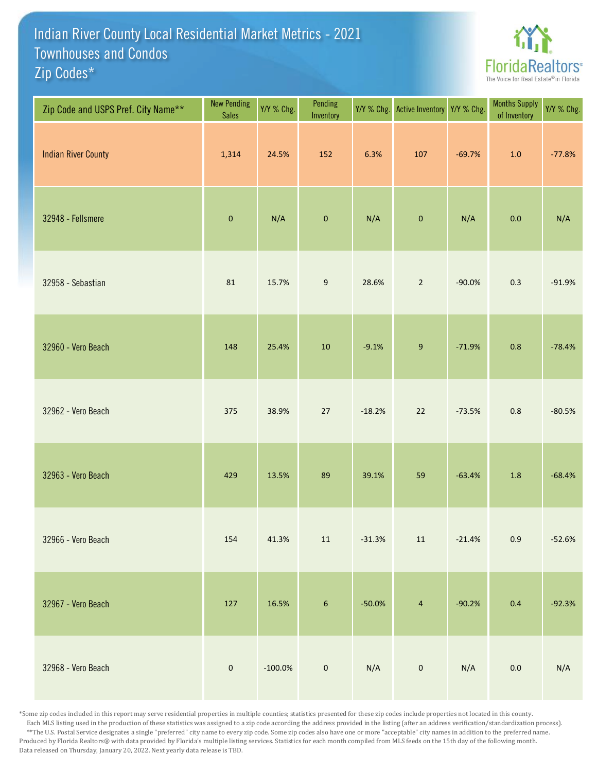## Indian River County Local Residential Market Metrics - 2021 Zip Codes\* Townhouses and Condos



| Zip Code and USPS Pref. City Name** | <b>New Pending</b><br><b>Sales</b> | Y/Y % Chg. | Pending<br>Inventory | Y/Y % Chg. | <b>Active Inventory</b> | Y/Y % Chg. | <b>Months Supply</b><br>of Inventory | Y/Y % Chg. |
|-------------------------------------|------------------------------------|------------|----------------------|------------|-------------------------|------------|--------------------------------------|------------|
| <b>Indian River County</b>          | 1,314                              | 24.5%      | 152                  | 6.3%       | 107                     | $-69.7%$   | $1.0$                                | $-77.8%$   |
| 32948 - Fellsmere                   | $\pmb{0}$                          | N/A        | $\pmb{0}$            | N/A        | $\pmb{0}$               | N/A        | $0.0\,$                              | N/A        |
| 32958 - Sebastian                   | 81                                 | 15.7%      | $\boldsymbol{9}$     | 28.6%      | $\overline{2}$          | $-90.0%$   | 0.3                                  | $-91.9%$   |
| 32960 - Vero Beach                  | 148                                | 25.4%      | $10\,$               | $-9.1%$    | $\boldsymbol{9}$        | $-71.9%$   | 0.8                                  | $-78.4%$   |
| 32962 - Vero Beach                  | 375                                | 38.9%      | 27                   | $-18.2%$   | 22                      | $-73.5%$   | 0.8                                  | $-80.5%$   |
| 32963 - Vero Beach                  | 429                                | 13.5%      | 89                   | 39.1%      | 59                      | $-63.4%$   | 1.8                                  | $-68.4%$   |
| 32966 - Vero Beach                  | 154                                | 41.3%      | $11\,$               | $-31.3%$   | $11\,$                  | $-21.4%$   | 0.9                                  | $-52.6%$   |
| 32967 - Vero Beach                  | 127                                | 16.5%      | $\boldsymbol{6}$     | $-50.0%$   | $\overline{4}$          | $-90.2%$   | 0.4                                  | $-92.3%$   |
| 32968 - Vero Beach                  | $\mathbf 0$                        | $-100.0\%$ | $\mathbf 0$          | N/A        | $\pmb{0}$               | N/A        | $0.0\,$                              | N/A        |

\*Some zip codes included in this report may serve residential properties in multiple counties; statistics presented for these zip codes include properties not located in this county. Each MLS listing used in the production of these statistics was assigned to a zip code according the address provided in the listing (after an address verification/standardization process). \*\*The U.S. Postal Service designates a single "preferred" city name to every zip code. Some zip codes also have one or more "acceptable" city names in addition to the preferred name. Produced by Florida Realtors® with data provided by Florida's multiple listing services. Statistics for each month compiled from MLS feeds on the 15th day of the following month. Data released on Thursday, January 20, 2022. Next yearly data release is TBD.